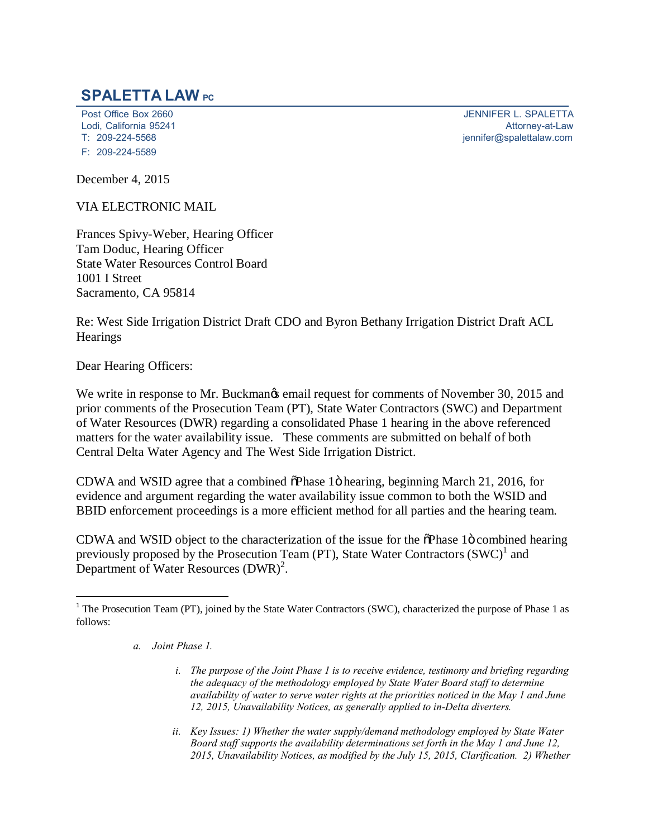## **SPALETTA LAW PC**

Lodi, California 95241<br>T: 209-224-5568 F: 209-224-5589

Post Office Box 2660<br>
Lodi. California 95241<br>
Attorney-at-Law [jennifer@spalettalaw.com](mailto:jennifer@spalettalaw.com)

December 4, 2015

VIA ELECTRONIC MAIL

Frances Spivy-Weber, Hearing Officer Tam Doduc, Hearing Officer State Water Resources Control Board 1001 I Street Sacramento, CA 95814

Re: West Side Irrigation District Draft CDO and Byron Bethany Irrigation District Draft ACL **Hearings** 

Dear Hearing Officers:

We write in response to Mr. Buckmangs email request for comments of November 30, 2015 and prior comments of the Prosecution Team (PT), State Water Contractors (SWC) and Department of Water Resources (DWR) regarding a consolidated Phase 1 hearing in the above referenced matters for the water availability issue. These comments are submitted on behalf of both Central Delta Water Agency and The West Side Irrigation District.

CDWA and WSID agree that a combined  $\delta$ Phase 1 $\delta$  hearing, beginning March 21, 2016, for evidence and argument regarding the water availability issue common to both the WSID and BBID enforcement proceedings is a more efficient method for all parties and the hearing team.

CDWA and WSID object to the characterization of the issue for the  $\delta$ Phase 1 $\ddot{o}$  combined hearing previously proposed by the Prosecution Team (PT), State Water Contractors  $(SWC)^1$  and Department of Water Resources  $(DWR)^2$ .

- *a. Joint Phase 1.*
	- *i. The purpose of the Joint Phase 1 is to receive evidence, testimony and briefing regarding the adequacy of the methodology employed by State Water Board staff to determine availability of water to serve water rights at the priorities noticed in the May 1 and June 12, 2015, Unavailability Notices, as generally applied to in-Delta diverters.*
	- *ii. Key Issues: 1) Whether the water supply/demand methodology employed by State Water Board staff supports the availability determinations set forth in the May 1 and June 12, 2015, Unavailability Notices, as modified by the July 15, 2015, Clarification. 2) Whether*

<sup>&</sup>lt;sup>1</sup> The Prosecution Team (PT), joined by the State Water Contractors (SWC), characterized the purpose of Phase 1 as follows: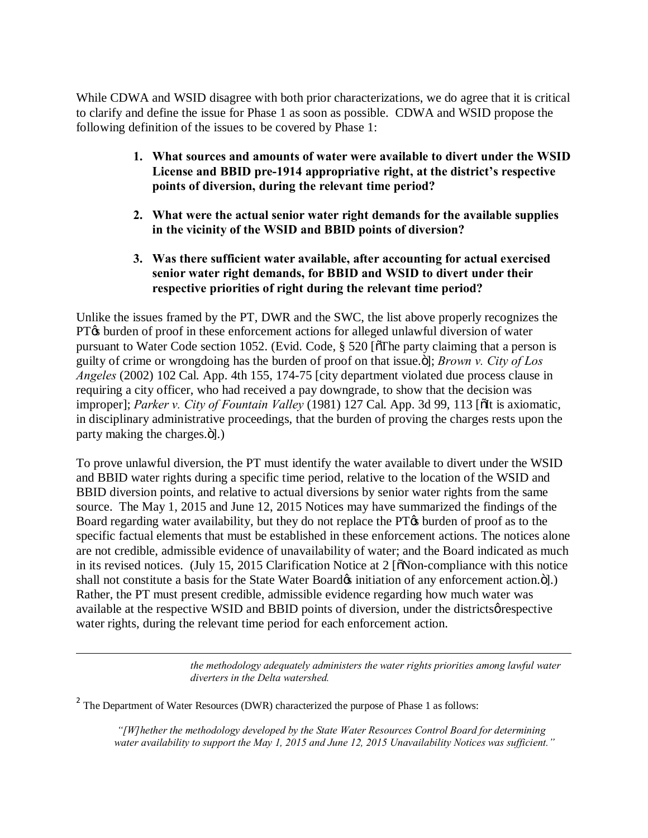While CDWA and WSID disagree with both prior characterizations, we do agree that it is critical to clarify and define the issue for Phase 1 as soon as possible. CDWA and WSID propose the following definition of the issues to be covered by Phase 1:

- **1. What sources and amounts of water were available to divert under the WSID License and BBID pre-1914 appropriative right, at the district's respective points of diversion, during the relevant time period?**
- **2. What were the actual senior water right demands for the available supplies in the vicinity of the WSID and BBID points of diversion?**
- **3. Was there sufficient water available, after accounting for actual exercised senior water right demands, for BBID and WSID to divert under their respective priorities of right during the relevant time period?**

Unlike the issues framed by the PT, DWR and the SWC, the list above properly recognizes the PT $\alpha$  burden of proof in these enforcement actions for alleged unlawful diversion of water pursuant to Water Code section 1052. (Evid. Code,  $\S$  520 [ $\delta$ The party claiming that a person is guilty of crime or wrongdoing has the burden of proof on that issue."", *Brown v. City of Los Angeles* (2002) 102 Cal. App. 4th 155, 174-75 [city department violated due process clause in requiring a city officer, who had received a pay downgrade, to show that the decision was improper]; *Parker v. City of Fountain Valley* (1981) 127 Cal. App. 3d 99, 113 [oIt is axiomatic, in disciplinary administrative proceedings, that the burden of proving the charges rests upon the party making the charges. $\ddot{o}$ ].)

To prove unlawful diversion, the PT must identify the water available to divert under the WSID and BBID water rights during a specific time period, relative to the location of the WSID and BBID diversion points, and relative to actual diversions by senior water rights from the same source. The May 1, 2015 and June 12, 2015 Notices may have summarized the findings of the Board regarding water availability, but they do not replace the PT $\alpha$  burden of proof as to the specific factual elements that must be established in these enforcement actions. The notices alone are not credible, admissible evidence of unavailability of water; and the Board indicated as much in its revised notices. (July 15, 2015 Clarification Notice at  $2 \times 2$  To Non-compliance with this notice shall not constitute a basis for the State Water Board initiation of any enforcement action.  $\ddot{o}$ ].) Rather, the PT must present credible, admissible evidence regarding how much water was available at the respective WSID and BBID points of diversion, under the districts *o* respective water rights, during the relevant time period for each enforcement action.

> *the methodology adequately administers the water rights priorities among lawful water diverters in the Delta watershed.*

<sup>2</sup> The Department of Water Resources (DWR) characterized the purpose of Phase 1 as follows:

 $\overline{a}$ 

*"[W]hether the methodology developed by the State Water Resources Control Board for determining water availability to support the May 1, 2015 and June 12, 2015 Unavailability Notices was sufficient."*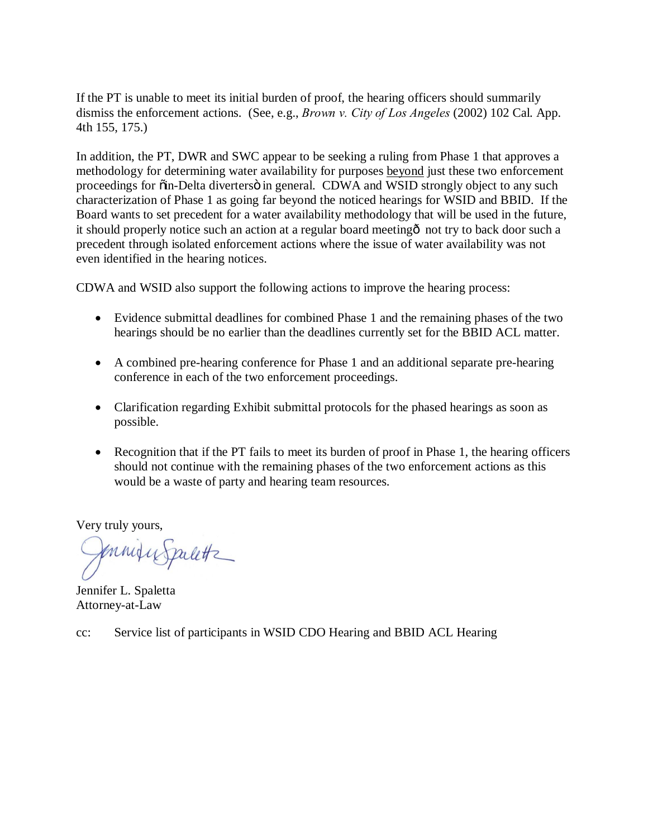If the PT is unable to meet its initial burden of proof, the hearing officers should summarily dismiss the enforcement actions. (See, e.g., *Brown v. City of Los Angeles* (2002) 102 Cal. App. 4th 155, 175.)

In addition, the PT, DWR and SWC appear to be seeking a ruling from Phase 1 that approves a methodology for determining water availability for purposes beyond just these two enforcement proceedings for  $\ddot{\text{o}}$ in-Delta diverters $\ddot{\text{o}}$  in general. CDWA and WSID strongly object to any such characterization of Phase 1 as going far beyond the noticed hearings for WSID and BBID. If the Board wants to set precedent for a water availability methodology that will be used in the future, it should properly notice such an action at a regular board meeting  $\hat{o}$  not try to back door such a precedent through isolated enforcement actions where the issue of water availability was not even identified in the hearing notices.

CDWA and WSID also support the following actions to improve the hearing process:

- Evidence submittal deadlines for combined Phase 1 and the remaining phases of the two hearings should be no earlier than the deadlines currently set for the BBID ACL matter.
- · A combined pre-hearing conference for Phase 1 and an additional separate pre-hearing conference in each of the two enforcement proceedings.
- Clarification regarding Exhibit submittal protocols for the phased hearings as soon as possible.
- Recognition that if the PT fails to meet its burden of proof in Phase 1, the hearing officers should not continue with the remaining phases of the two enforcement actions as this would be a waste of party and hearing team resources.

Very truly yours,

formity Spaletts

Jennifer L. Spaletta Attorney-at-Law

cc: Service list of participants in WSID CDO Hearing and BBID ACL Hearing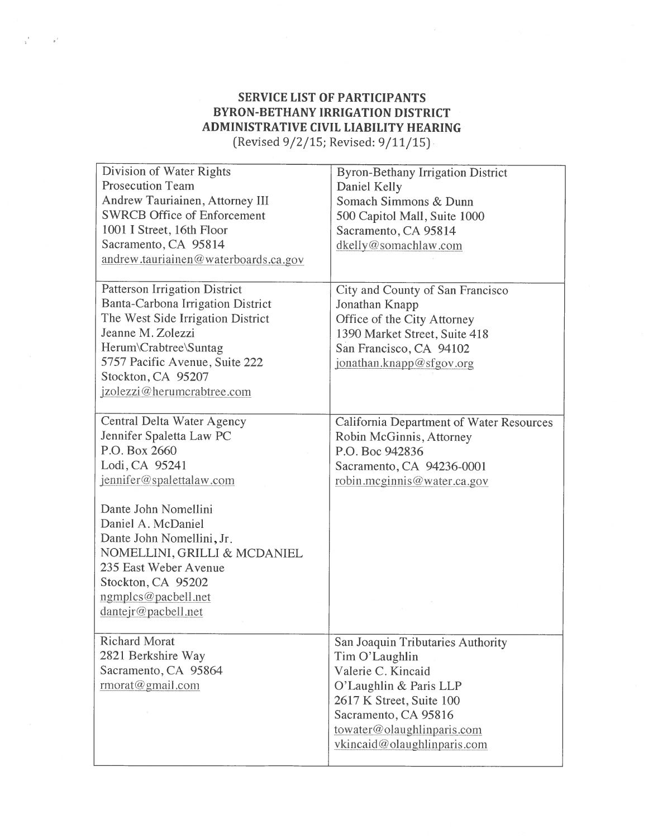## **SERVICE LIST OF PARTICIPANTS BYRON-BETHANY IRRIGATION DISTRICT** ADMINISTRATIVE CIVIL LIABILITY HEARING (Revised 9/2/15; Revised: 9/11/15)

 $\sim$ 

Division of Water Rights **Byron-Bethany Irrigation District Prosecution Team** Daniel Kelly Andrew Tauriainen, Attorney III Somach Simmons & Dunn **SWRCB Office of Enforcement** 500 Capitol Mall, Suite 1000 1001 I Street, 16th Floor Sacramento, CA 95814 Sacramento, CA 95814 dkelly@somachlaw.com andrew.tauriainen@waterboards.ca.gov Patterson Irrigation District City and County of San Francisco Banta-Carbona Irrigation District Jonathan Knapp The West Side Irrigation District Office of the City Attorney Jeanne M. Zolezzi 1390 Market Street, Suite 418 Herum\Crabtree\Suntag San Francisco, CA 94102 5757 Pacific Avenue, Suite 222 jonathan.knapp@sfgov.org Stockton, CA 95207 jzolezzi@herumcrabtree.com Central Delta Water Agency **California Department of Water Resources** Jennifer Spaletta Law PC Robin McGinnis, Attorney P.O. Box 2660 P.O. Boc 942836 Lodi, CA 95241 Sacramento, CA 94236-0001 jennifer@spalettalaw.com robin.mcginnis@water.ca.gov Dante John Nomellini Daniel A. McDaniel Dante John Nomellini, Jr. NOMELLINI, GRILLI & MCDANIEL 235 East Weber Avenue Stockton, CA 95202 ngmplcs@pacbell.net dantejr@pacbell.net **Richard Morat** San Joaquin Tributaries Authority 2821 Berkshire Way Tim O'Laughlin Sacramento, CA 95864 Valerie C. Kincaid  $rmorat@gmail.com$ O'Laughlin & Paris LLP 2617 K Street, Suite 100 Sacramento, CA 95816 towater@olaughlinparis.com vkincaid@olaughlinparis.com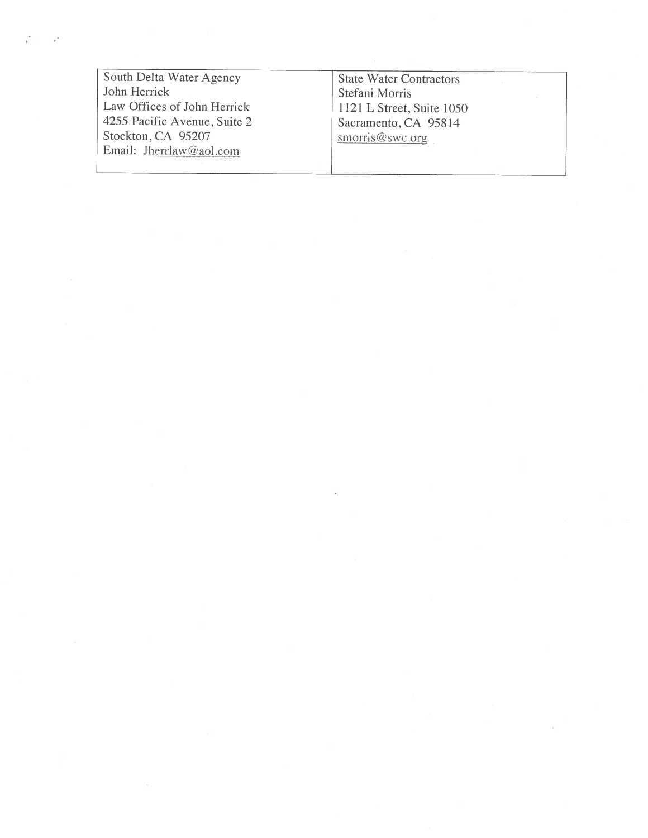South Delta Water Agency John Herrick Law Offices of John Herrick 4255 Pacific Avenue, Suite 2 Stockton, CA 95207 Email: Jherrlaw@aol.com

State Water Contractors Stefani Morris 1121 L Street, Suite 1050 Sacramento, CA 95814 smorris@swc.org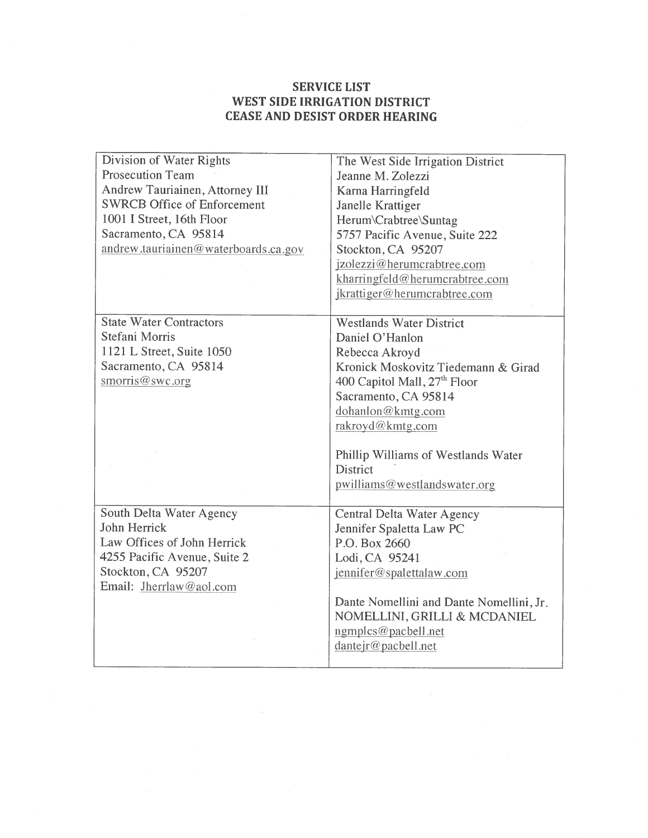## **SERVICE LIST** WEST SIDE IRRIGATION DISTRICT **CEASE AND DESIST ORDER HEARING**

| Division of Water Rights             | The West Side Irrigation District        |
|--------------------------------------|------------------------------------------|
| <b>Prosecution Team</b>              | Jeanne M. Zolezzi                        |
| Andrew Tauriainen, Attorney III      | Karna Harringfeld                        |
| <b>SWRCB Office of Enforcement</b>   | Janelle Krattiger                        |
| 1001 I Street, 16th Floor            | Herum\Crabtree\Suntag                    |
| Sacramento, CA 95814                 | 5757 Pacific Avenue, Suite 222           |
| andrew.tauriainen@waterboards.ca.gov | Stockton, CA 95207                       |
|                                      | jzolezzi@herumcrabtree.com               |
|                                      | kharringfeld@herumcrabtree.com           |
|                                      | jkrattiger@herumcrabtree.com             |
|                                      |                                          |
| <b>State Water Contractors</b>       | <b>Westlands Water District</b>          |
| Stefani Morris                       | Daniel O'Hanlon                          |
| 1121 L Street, Suite 1050            | Rebecca Akroyd                           |
| Sacramento, CA 95814                 | Kronick Moskovitz Tiedemann & Girad      |
| smorris@swc.org                      | 400 Capitol Mall, 27 <sup>th</sup> Floor |
|                                      | Sacramento, CA 95814                     |
|                                      | dohanlon@kmtg.com                        |
|                                      | rakroyd@kmtg.com                         |
|                                      |                                          |
|                                      | Phillip Williams of Westlands Water      |
|                                      | District                                 |
|                                      | pwilliams@westlandswater.org             |
|                                      |                                          |
| South Delta Water Agency             | Central Delta Water Agency               |
| John Herrick                         | Jennifer Spaletta Law PC                 |
| Law Offices of John Herrick          | P.O. Box 2660                            |
| 4255 Pacific Avenue, Suite 2         | Lodi, CA 95241                           |
| Stockton, CA 95207                   | jennifer@spalettalaw.com                 |
| Email: Jherrlaw@aol.com              |                                          |
|                                      | Dante Nomellini and Dante Nomellini, Jr. |
|                                      | NOMELLINI, GRILLI & MCDANIEL             |
|                                      | ngmplcs@pacbell.net                      |
|                                      | dantejr@pacbell.net                      |
|                                      |                                          |